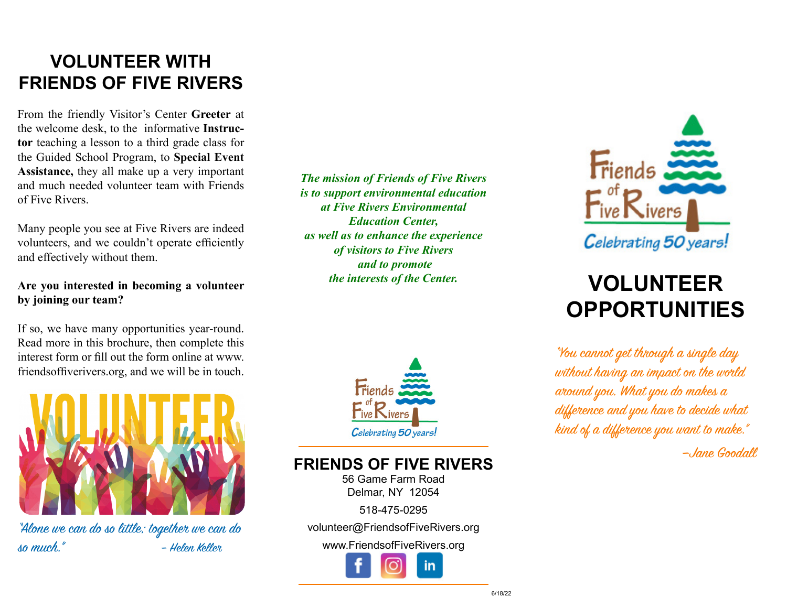## **VOLUNTEER WITH FRIENDS OF FIVE RIVERS**

From the friendly Visitor's Center **Greeter** at the welcome desk, to the informative **Instructor** teaching a lesson to a third grade class for the Guided School Program, to **Special Event Assistance,** they all make up a very important and much needed volunteer team with Friends of Five Rivers.

Many people you see at Five Rivers are indeed volunteers, and we couldn't operate efficiently and effectively without them.

#### **Are you interested in becoming a volunteer by joining our team?**

If so, we have many opportunities year-round. Read more in this brochure, then complete this interest form or fill out the form online at www. friendsoffiverivers.org, and we will be in touch.



"Alone we can do so little; together we can do so much." – Helen Keller

#### *The mission of Friends of Five Rivers is to support environmental education at Five Rivers Environmental Education Center, as well as to enhance the experience of visitors to Five Rivers and to promote the interests of the Center.*



### **FRIENDS OF FIVE RIVERS**

56 Game Farm Road Delmar, NY 12054

518-475-0295

volunteer@FriendsofFiveRivers.org

www.FriendsofFiveRivers.org





# **VOLUNTEER OPPORTUNITIES**

"You cannot get through a single day without having an impact on the world around you. What you do makes a difference and you have to decide what kind of a difference you want to make."

—Jane Goodall